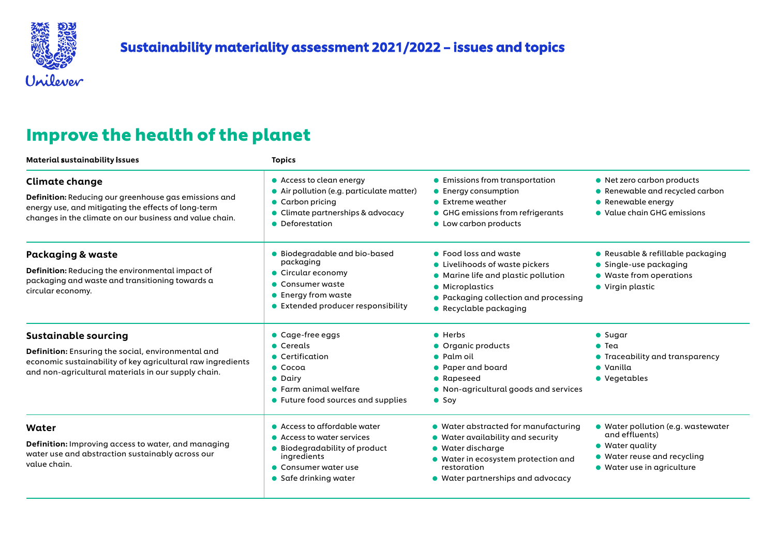

## Improve the health of the planet

| Material sustainability issues                                                                                                                                                                          | <b>Topics</b>                                                                                                                                                       |                                                                                                                                                                                                   |                                                                                                                                              |
|---------------------------------------------------------------------------------------------------------------------------------------------------------------------------------------------------------|---------------------------------------------------------------------------------------------------------------------------------------------------------------------|---------------------------------------------------------------------------------------------------------------------------------------------------------------------------------------------------|----------------------------------------------------------------------------------------------------------------------------------------------|
| <b>Climate change</b><br>Definition: Reducing our greenhouse gas emissions and<br>energy use, and mitigating the effects of long-term<br>changes in the climate on our business and value chain.        | • Access to clean energy<br>· Air pollution (e.g. particulate matter)<br>• Carbon pricing<br>$\bullet$ Climate partnerships & advocacy<br>• Deforestation           | • Emissions from transportation<br>• Energy consumption<br>$\bullet$ Extreme weather<br>• GHG emissions from refrigerants<br>• Low carbon products                                                | • Net zero carbon products<br>• Renewable and recycled carbon<br>$\bullet$ Renewable energy<br>• Value chain GHG emissions                   |
| <b>Packaging &amp; waste</b><br>Definition: Reducing the environmental impact of<br>packaging and waste and transitioning towards a<br>circular economy.                                                | • Biodegradable and bio-based<br>packaging<br>• Circular economy<br>• Consumer waste<br>$\bullet$ Energy from waste<br>• Extended producer responsibility           | • Food loss and waste<br>• Livelihoods of waste pickers<br>• Marine life and plastic pollution<br>• Microplastics<br>• Packaging collection and processing<br>• Recyclable packaging              | • Reusable & refillable packaging<br>• Single-use packaging<br>• Waste from operations<br>• Virgin plastic                                   |
| <b>Sustainable sourcing</b><br>Definition: Ensuring the social, environmental and<br>economic sustainability of key agricultural raw ingredients<br>and non-agricultural materials in our supply chain. | $\bullet$ Cage-free eggs<br>• Cereals<br>• Certification<br>$\bullet$ Cocoa<br>• Dairy<br>$\bullet$ Farm animal welfare<br>• Future food sources and supplies       | $\bullet$ Herbs<br>• Organic products<br>• Palm oil<br>• Paper and board<br>• Rapeseed<br>• Non-agricultural goods and services<br>$\bullet$ Soy                                                  | $\bullet$ Sugar<br>$\bullet$ Tea<br>• Traceability and transparency<br>$\bullet$ Vanilla<br>• Vegetables                                     |
| Water<br>Definition: Improving access to water, and managing<br>water use and abstraction sustainably across our<br>value chain.                                                                        | • Access to affordable water<br>• Access to water services<br>● Biodegradability of product<br>ingredients<br>• Consumer water use<br>$\bullet$ Safe drinking water | • Water abstracted for manufacturing<br>• Water availability and security<br>• Water discharge<br>• Water in ecosystem protection and<br>restoration<br>$\bullet$ Water partnerships and advocacy | • Water pollution (e.g. wastewater<br>and effluents)<br>$\bullet$ Water quality<br>• Water reuse and recycling<br>• Water use in agriculture |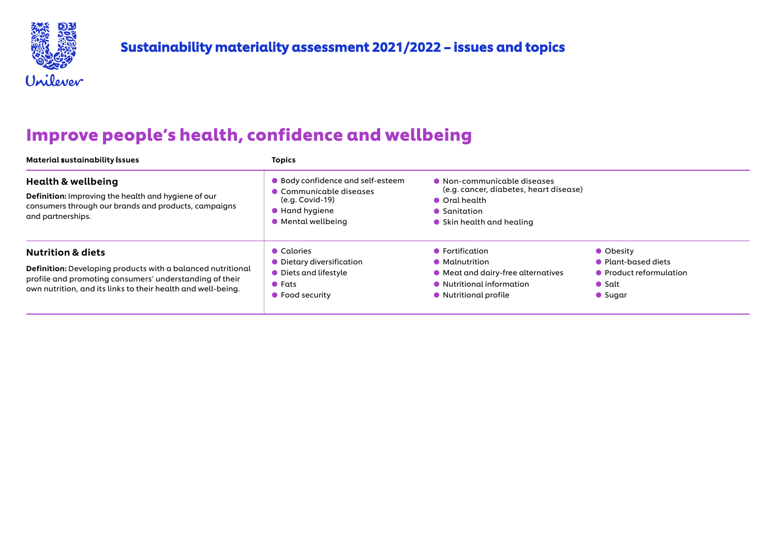

## **Improve people's health, confidence and wellbeing**

| Material sustainability issues                                                                                                                                                                                                | <b>Topics</b>                                                                                                                   |                                                                                                                                             |                                                                                                  |
|-------------------------------------------------------------------------------------------------------------------------------------------------------------------------------------------------------------------------------|---------------------------------------------------------------------------------------------------------------------------------|---------------------------------------------------------------------------------------------------------------------------------------------|--------------------------------------------------------------------------------------------------|
| <b>Health &amp; wellbeing</b><br>Definition: Improving the health and hygiene of our<br>consumers through our brands and products, campaigns<br>and partnerships.                                                             | ● Body confidence and self-esteem<br>• Communicable diseases<br>(e.g. Covid-19)<br>$\bullet$ Hand hygiene<br>• Mental wellbeing | • Non-communicable diseases<br>(e.g. cancer, diabetes, heart disease)<br>• Oral health<br>• Sanitation<br>$\bullet$ Skin health and healing |                                                                                                  |
| <b>Nutrition &amp; diets</b><br><b>Definition:</b> Developing products with a balanced nutritional<br>profile and promoting consumers' understanding of their<br>own nutrition, and its links to their health and well-being. | • Calories<br>• Dietary diversification<br>• Diets and lifestyle<br>$\bullet$ Fats<br>• Food security                           | $\bullet$ Fortification<br>• Malnutrition<br>• Meat and dairy-free alternatives<br>• Nutritional information<br>• Nutritional profile       | • Obesity<br>• Plant-based diets<br>• Product reformulation<br>$\bullet$ Salt<br>$\bullet$ Sugar |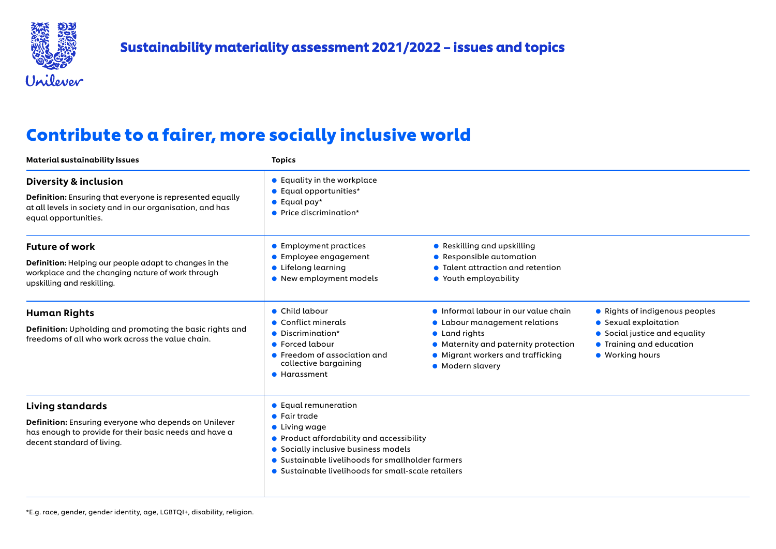

## Contribute to a fairer, more socially inclusive world

| Material sustainability issues                                                                                                                                                     | <b>Topics</b>                                                                                                                                                                                                                                                                  |                                                                                                                                                                                       |                                                                                                                                         |
|------------------------------------------------------------------------------------------------------------------------------------------------------------------------------------|--------------------------------------------------------------------------------------------------------------------------------------------------------------------------------------------------------------------------------------------------------------------------------|---------------------------------------------------------------------------------------------------------------------------------------------------------------------------------------|-----------------------------------------------------------------------------------------------------------------------------------------|
| <b>Diversity &amp; inclusion</b><br>Definition: Ensuring that everyone is represented equally<br>at all levels in society and in our organisation, and has<br>equal opportunities. | ● Equality in the workplace<br>• Equal opportunities*<br>$\bullet$ Equal pay*<br>• Price discrimination*                                                                                                                                                                       |                                                                                                                                                                                       |                                                                                                                                         |
| <b>Future of work</b><br><b>Definition:</b> Helping our people adapt to changes in the<br>workplace and the changing nature of work through<br>upskilling and reskilling.          | • Employment practices<br>• Employee engagement<br>• Lifelong learning<br>• New employment models                                                                                                                                                                              | • Reskilling and upskilling<br>• Responsible automation<br>• Talent attraction and retention<br>• Youth employability                                                                 |                                                                                                                                         |
| <b>Human Rights</b><br>Definition: Upholding and promoting the basic rights and<br>freedoms of all who work across the value chain.                                                | • Child labour<br>$\bullet$ Conflict minerals<br>• Discrimination*<br>• Forced labour<br>• Freedom of association and<br>collective bargaining<br>• Harassment                                                                                                                 | liformal labour in our value chain<br>• Labour management relations<br>• Land rights<br>• Maternity and paternity protection<br>• Migrant workers and trafficking<br>• Modern slavery | • Rights of indigenous peoples<br>• Sexual exploitation<br>• Social justice and equality<br>• Training and education<br>• Working hours |
| <b>Living standards</b><br>Definition: Ensuring everyone who depends on Unilever<br>has enough to provide for their basic needs and have a<br>decent standard of living.           | • Equal remuneration<br>$\bullet$ Fair trade<br>$\bullet$ Living wage<br>$\bullet$ Product affordability and accessibility<br>• Socially inclusive business models<br>• Sustainable livelihoods for smallholder farmers<br>• Sustainable livelihoods for small-scale retailers |                                                                                                                                                                                       |                                                                                                                                         |